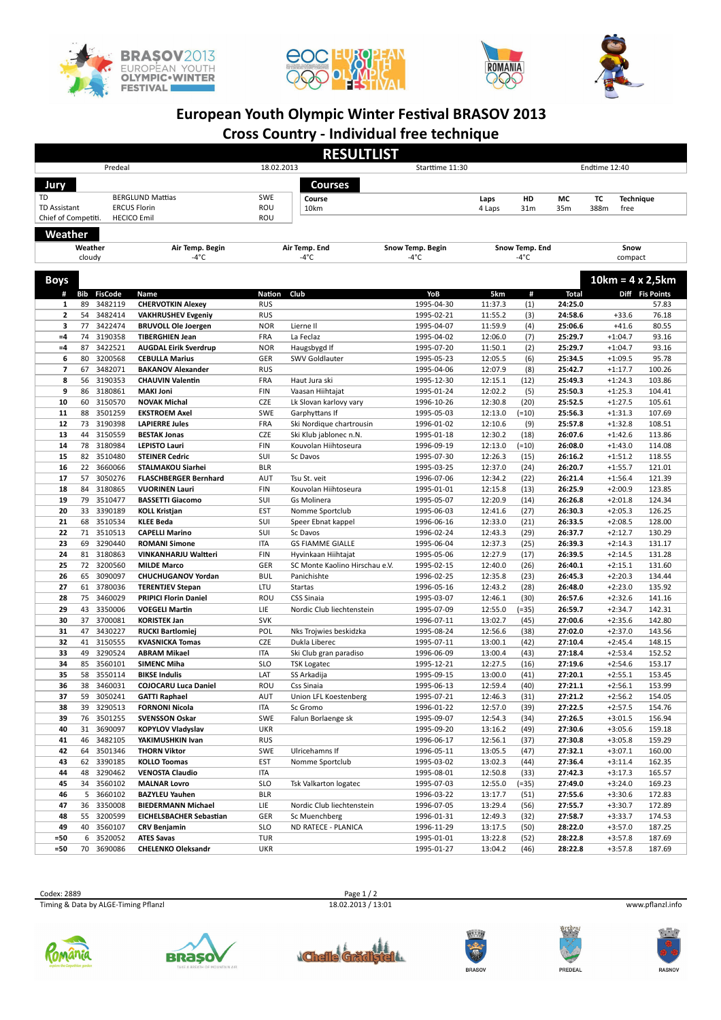







## **European Youth Olympic Winter Festival BRASOV 2013**

**Cross Country - Individual free technique**

| <b>RESULTLIST</b>         |                                                |                       |                                                      |                          |                                          |                          |                        |               |                    |            |                          |                         |
|---------------------------|------------------------------------------------|-----------------------|------------------------------------------------------|--------------------------|------------------------------------------|--------------------------|------------------------|---------------|--------------------|------------|--------------------------|-------------------------|
| Predeal                   |                                                |                       |                                                      | 18.02.2013               |                                          | Starttime 11:30          |                        |               | Endtime 12:40      |            |                          |                         |
|                           |                                                |                       |                                                      |                          | Courses                                  |                          |                        |               |                    |            |                          |                         |
| Jury                      |                                                |                       |                                                      | <b>SWE</b>               |                                          |                          |                        |               |                    |            |                          |                         |
| TD<br><b>TD Assistant</b> | <b>BERGLUND Mattias</b><br><b>ERCUS Florin</b> |                       |                                                      | ROU                      | Course<br>10km                           |                          | Laps<br>4 Laps         | HD<br>31m     | МC<br>35m          | тc<br>388m | <b>Technique</b><br>free |                         |
| Chief of Competiti.       |                                                |                       | <b>HECICO Emil</b>                                   | ROU                      |                                          |                          |                        |               |                    |            |                          |                         |
|                           |                                                |                       |                                                      |                          |                                          |                          |                        |               |                    |            |                          |                         |
|                           | Weather                                        |                       |                                                      |                          | Air Temp. End                            | Snow Temp. Begin         |                        |               |                    |            | Snow                     |                         |
| Weather<br>cloudy         |                                                |                       | Air Temp. Begin<br>-4°C                              | $-4^{\circ}$ C           |                                          | -4°C                     | Snow Temp. End<br>-4°C |               |                    | compact    |                          |                         |
|                           |                                                |                       |                                                      |                          |                                          |                          |                        |               |                    |            |                          |                         |
| <b>Boys</b>               |                                                |                       |                                                      |                          |                                          |                          |                        |               |                    |            |                          | $10km = 4 \times 2,5km$ |
| #                         |                                                | <b>Bib FisCode</b>    | Name                                                 | Nation                   | Club                                     | YoB                      | 5km                    | #             | <b>Total</b>       |            |                          | Diff Fis Points         |
| 1                         | 89                                             | 3482119               | <b>CHERVOTKIN Alexey</b>                             | <b>RUS</b>               |                                          | 1995-04-30               | 11:37.3                | (1)           | 24:25.0            |            |                          | 57.83                   |
| 2                         | 54                                             | 3482414               | <b>VAKHRUSHEV Evgeniy</b>                            | <b>RUS</b>               |                                          | 1995-02-21               | 11:55.2                | (3)           | 24:58.6            |            | $+33.6$                  | 76.18                   |
| 3<br>$=4$                 | 77<br>74                                       | 3422474<br>3190358    | <b>BRUVOLL Ole Joergen</b><br><b>TIBERGHIEN Jean</b> | <b>NOR</b><br>FRA        | Lierne II<br>La Feclaz                   | 1995-04-07<br>1995-04-02 | 11:59.9<br>12:06.0     | (4)<br>(7)    | 25:06.6<br>25:29.7 |            | $+41.6$<br>$+1:04.7$     | 80.55<br>93.16          |
| $=4$                      | 87                                             | 3422521               | <b>AUGDAL Eirik Sverdrup</b>                         | <b>NOR</b>               | Haugsbygd If                             | 1995-07-20               | 11:50.1                | (2)           | 25:29.7            |            | $+1:04.7$                | 93.16                   |
| 6                         | 80                                             | 3200568               | <b>CEBULLA Marius</b>                                | GER                      | SWV Goldlauter                           | 1995-05-23               | 12:05.5                | (6)           | 25:34.5            |            | $+1:09.5$                | 95.78                   |
| 7                         | 67                                             | 3482071               | <b>BAKANOV Alexander</b>                             | <b>RUS</b>               |                                          | 1995-04-06               | 12:07.9                | (8)           | 25:42.7            |            | $+1:17.7$                | 100.26                  |
| 8                         | 56                                             | 3190353               | <b>CHAUVIN Valentin</b>                              | FRA                      | Haut Jura ski                            | 1995-12-30               | 12:15.1                | (12)          | 25:49.3            |            | $+1:24.3$                | 103.86                  |
| 9                         | 86                                             | 3180861               | <b>MAKI Joni</b>                                     | FIN                      | Vaasan Hiihtajat                         | 1995-01-24               | 12:02.2                | (5)           | 25:50.3            |            | $+1:25.3$                | 104.41                  |
| 10<br>11                  | 60<br>88                                       | 3150570<br>3501259    | <b>NOVAK Michal</b><br><b>EKSTROEM Axel</b>          | CZE<br>SWE               | Lk Slovan karlovy vary<br>Garphyttans If | 1996-10-26<br>1995-05-03 | 12:30.8<br>12:13.0     | (20)<br>(=10) | 25:52.5<br>25:56.3 |            | $+1:27.5$<br>$+1:31.3$   | 105.61<br>107.69        |
| 12                        | 73                                             | 3190398               | <b>LAPIERRE Jules</b>                                | FRA                      | Ski Nordique chartrousin                 | 1996-01-02               | 12:10.6                | (9)           | 25:57.8            |            | $+1:32.8$                | 108.51                  |
| 13                        | 44                                             | 3150559               | <b>BESTAK Jonas</b>                                  | CZE                      | Ski Klub jablonec n.N.                   | 1995-01-18               | 12:30.2                | (18)          | 26:07.6            |            | $+1:42.6$                | 113.86                  |
| 14                        |                                                | 78 3180984            | <b>LEPISTO Lauri</b>                                 | FIN                      | Kouvolan Hiihtoseura                     | 1996-09-19               | 12:13.0                | (=10)         | 26:08.0            |            | $+1:43.0$                | 114.08                  |
| 15                        | 82                                             | 3510480               | <b>STEINER Cedric</b>                                | SUI                      | Sc Davos                                 | 1995-07-30               | 12:26.3                | (15)          | 26:16.2            |            | $+1:51.2$                | 118.55                  |
| 16                        | 22                                             | 3660066               | STALMAKOU Siarhei                                    | <b>BLR</b>               |                                          | 1995-03-25               | 12:37.0                | (24)          | 26:20.7            |            | $+1:55.7$                | 121.01                  |
| 17                        | 57                                             | 3050276               | <b>FLASCHBERGER Bernhard</b>                         | AUT                      | Tsu St. veit                             | 1996-07-06               | 12:34.2                | (22)          | 26:21.4            |            | $+1:56.4$                | 121.39                  |
| 18<br>19                  | 84<br>79                                       | 3180865<br>3510477    | <b>VUORINEN Lauri</b><br><b>BASSETTI Giacomo</b>     | FIN<br>SUI               | Kouvolan Hiihtoseura<br>Gs Molinera      | 1995-01-01<br>1995-05-07 | 12:15.8<br>12:20.9     | (13)<br>(14)  | 26:25.9<br>26:26.8 |            | $+2:00.9$<br>$+2:01.8$   | 123.85<br>124.34        |
| 20                        | 33                                             | 3390189               | <b>KOLL Kristjan</b>                                 | EST                      | Nomme Sportclub                          | 1995-06-03               | 12:41.6                | (27)          | 26:30.3            |            | $+2:05.3$                | 126.25                  |
| 21                        | 68                                             | 3510534               | <b>KLEE Beda</b>                                     | SUI                      | Speer Ebnat kappel                       | 1996-06-16               | 12:33.0                | (21)          | 26:33.5            |            | $+2:08.5$                | 128.00                  |
| 22                        | 71                                             | 3510513               | <b>CAPELLI Marino</b>                                | SUI                      | Sc Davos                                 | 1996-02-24               | 12:43.3                | (29)          | 26:37.7            |            | $+2:12.7$                | 130.29                  |
| 23                        | 69                                             | 3290440               | <b>ROMANI Simone</b>                                 | <b>ITA</b>               | <b>GS FIAMME GIALLE</b>                  | 1995-06-04               | 12:37.3                | (25)          | 26:39.3            |            | $+2:14.3$                | 131.17                  |
| 24                        | 81                                             | 3180863               | VINKANHARJU Waltteri                                 | FIN                      | Hyvinkaan Hiihtajat                      | 1995-05-06               | 12:27.9                | (17)          | 26:39.5            |            | $+2:14.5$                | 131.28                  |
| 25<br>26                  | 72<br>65                                       | 3200560<br>3090097    | <b>MILDE Marco</b>                                   | GER<br><b>BUL</b>        | SC Monte Kaolino Hirschau e.V.           | 1995-02-15               | 12:40.0<br>12:35.8     | (26)<br>(23)  | 26:40.1<br>26:45.3 |            | $+2:15.1$<br>$+2:20.3$   | 131.60<br>134.44        |
| 27                        | 61                                             | 3780036               | <b>CHUCHUGANOV Yordan</b><br><b>TERENTJEV Stepan</b> | LTU                      | Panichishte<br>Startas                   | 1996-02-25<br>1996-05-16 | 12:43.2                | (28)          | 26:48.0            |            | $+2:23.0$                | 135.92                  |
| 28                        | 75                                             | 3460029               | <b>PRIPICI Florin Daniel</b>                         | ROU                      | <b>CSS Sinaia</b>                        | 1995-03-07               | 12:46.1                | (30)          | 26:57.6            |            | $+2:32.6$                | 141.16                  |
| 29                        | 43                                             | 3350006               | <b>VOEGELI Martin</b>                                | LIE                      | Nordic Club liechtenstein                | 1995-07-09               | 12:55.0                | (=35)         | 26:59.7            |            | $+2:34.7$                | 142.31                  |
| 30                        | 37                                             | 3700081               | <b>KORISTEK Jan</b>                                  | <b>SVK</b>               |                                          | 1996-07-11               | 13:02.7                | (45)          | 27:00.6            |            | $+2:35.6$                | 142.80                  |
| 31                        | 47                                             | 3430227               | <b>RUCKI Bartlomiej</b>                              | POL                      | Nks Trojwies beskidzka                   | 1995-08-24               | 12:56.6                | (38)          | 27:02.0            |            | $+2:37.0$                | 143.56                  |
| 32                        | 41                                             | 3150555               | <b>KVASNICKA Tomas</b>                               | CZE                      | Dukla Liberec                            | 1995-07-11               | 13:00.1                | (42)          | 27:10.4            |            | $+2:45.4$                | 148.15                  |
| 33<br>34                  | 49<br>85                                       | 3290524               | <b>ABRAM Mikael</b>                                  | <b>ITA</b>               | Ski Club gran paradiso                   | 1996-06-09               | 13:00.4                | (43)          | 27:18.4            |            | $+2:53.4$                | 152.52                  |
| 35                        | 58                                             | 3560101<br>3550114    | <b>SIMENC Miha</b><br><b>BIKSE Indulis</b>           | <b>SLO</b><br>LAT        | <b>TSK Logatec</b><br>SS Arkadija        | 1995-12-21<br>1995-09-15 | 12:27.5<br>13:00.0     | (16)<br>(41)  | 27:19.6<br>27:20.1 |            | $+2:54.6$<br>$+2:55.1$   | 153.17<br>153.45        |
| 36                        | 38                                             | 3460031               | <b>COJOCARU Luca Daniel</b>                          | ROU                      | Css Sinaia                               | 1995-06-13               | 12:59.4                | (40)          | 27:21.1            |            | $+2:56.1$                | 153.99                  |
| 37                        |                                                | 59 3050241            | <b>GATTI Raphael</b>                                 | AUT                      | Union LFL Koestenberg                    | 1995-07-21               | 12:46.3                | (31)          | 27:21.2            |            | $+2:56.2$                | 154.05                  |
| 38                        | 39                                             | 3290513               | <b>FORNONI Nicola</b>                                | ITA                      | Sc Gromo                                 | 1996-01-22               | 12:57.0                | (39)          | 27:22.5            |            | $+2:57.5$                | 154.76                  |
| 39                        |                                                | 76 3501255            | <b>SVENSSON Oskar</b>                                | <b>SWE</b>               | Falun Borlaenge sk                       | 1995-09-07               | 12:54.3                | (34)          | 27:26.5            |            | $+3:01.5$                | 156.94                  |
| 40                        | 31                                             | 3690097               | <b>KOPYLOV Vladyslav</b>                             | <b>UKR</b>               |                                          | 1995-09-20               | 13:16.2                | (49)          | 27:30.6            |            | $+3:05.6$                | 159.18                  |
| 41<br>42                  | 46<br>64                                       | 3482105<br>3501346    | YAKIMUSHKIN Ivan<br><b>THORN Viktor</b>              | <b>RUS</b><br>SWE        | Ulricehamns If                           | 1996-06-17<br>1996-05-11 | 12:56.1<br>13:05.5     | (37)<br>(47)  | 27:30.8<br>27:32.1 |            | $+3:05.8$<br>$+3:07.1$   | 159.29<br>160.00        |
| 43                        |                                                | 62 3390185            | <b>KOLLO Toomas</b>                                  | EST                      | Nomme Sportclub                          | 1995-03-02               | 13:02.3                | (44)          | 27:36.4            |            | $+3:11.4$                | 162.35                  |
| 44                        |                                                | 48 3290462            | <b>VENOSTA Claudio</b>                               | <b>ITA</b>               |                                          | 1995-08-01               | 12:50.8                | (33)          | 27:42.3            |            | $+3:17.3$                | 165.57                  |
| 45                        | 34                                             | 3560102               | <b>MALNAR Lovro</b>                                  | <b>SLO</b>               | Tsk Valkarton logatec                    | 1995-07-03               | 12:55.0                | (=35)         | 27:49.0            |            | $+3:24.0$                | 169.23                  |
| 46                        | 5                                              | 3660102               | <b>BAZYLEU Yauhen</b>                                | <b>BLR</b>               |                                          | 1996-03-22               | 13:17.7                | (51)          | 27:55.6            |            | $+3:30.6$                | 172.83                  |
| 47                        |                                                | 36 3350008            | <b>BIEDERMANN Michael</b>                            | LIE                      | Nordic Club liechtenstein                | 1996-07-05               | 13:29.4                | (56)          | 27:55.7            |            | $+3:30.7$                | 172.89                  |
| 48                        |                                                | 55 3200599            | <b>EICHELSBACHER Sebastian</b>                       | GER                      | Sc Muenchberg                            | 1996-01-31               | 12:49.3                | (32)          | 27:58.7            |            | $+3:33.7$                | 174.53                  |
| 49                        |                                                | 40 3560107<br>3520052 | CRV Benjamin<br><b>ATES Savas</b>                    | <b>SLO</b><br><b>TUR</b> | ND RATECE - PLANICA                      | 1996-11-29               | 13:17.5                | (50)          | 28:22.0            |            | $+3:57.0$                | 187.25                  |
| =50<br>=50                | 6                                              | 70 3690086            | <b>CHELENKO Oleksandr</b>                            | <b>UKR</b>               |                                          | 1995-01-01<br>1995-01-27 | 13:22.8<br>13:04.2     | (52)<br>(46)  | 28:22.8<br>28:22.8 |            | $+3:57.8$<br>$+3:57.8$   | 187.69<br>187.69        |
|                           |                                                |                       |                                                      |                          |                                          |                          |                        |               |                    |            |                          |                         |

Ecodex: 2889 Page 1 / 2<br>
Timing & Data by ALGE-Timing Pflanzl<br>
20.22013 / 13:01 Page 1 / 2 Timing & Data by ALGE-Timing Pflanzl 18.02.2013 / 13:01 18.02.2013 / 13:01 www.pflanzl.info